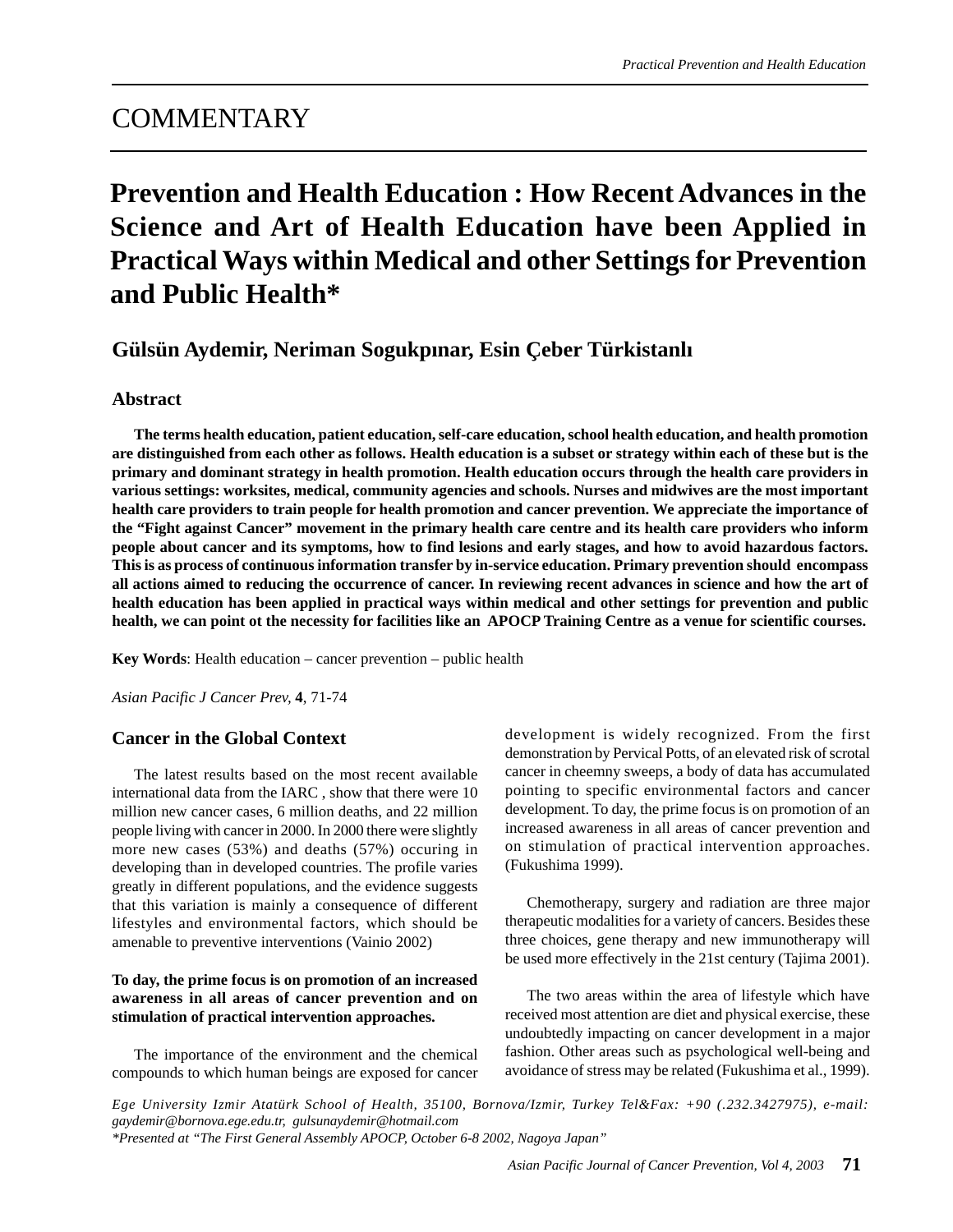# **COMMENTARY**

# **Prevention and Health Education : How Recent Advances in the Science and Art of Health Education have been Applied in Practical Ways within Medical and other Settings for Prevention and Public Health\***

# **Gülsün Aydemir, Neriman Sogukpınar, Esin Çeber Türkistanlı**

#### **Abstract**

**The terms health education, patient education, self-care education, school health education, and health promotion are distinguished from each other as follows. Health education is a subset or strategy within each of these but is the primary and dominant strategy in health promotion. Health education occurs through the health care providers in various settings: worksites, medical, community agencies and schools. Nurses and midwives are the most important health care providers to train people for health promotion and cancer prevention. We appreciate the importance of the "Fight against Cancer" movement in the primary health care centre and its health care providers who inform people about cancer and its symptoms, how to find lesions and early stages, and how to avoid hazardous factors. This is as process of continuous information transfer by in-service education. Primary prevention should encompass all actions aimed to reducing the occurrence of cancer. In reviewing recent advances in science and how the art of health education has been applied in practical ways within medical and other settings for prevention and public health, we can point ot the necessity for facilities like an APOCP Training Centre as a venue for scientific courses.**

**Key Words**: Health education – cancer prevention – public health

*Asian Pacific J Cancer Prev,* **4**, 71-74

# **Cancer in the Global Context**

The latest results based on the most recent available international data from the IARC , show that there were 10 million new cancer cases, 6 million deaths, and 22 million people living with cancer in 2000. In 2000 there were slightly more new cases (53%) and deaths (57%) occuring in developing than in developed countries. The profile varies greatly in different populations, and the evidence suggests that this variation is mainly a consequence of different lifestyles and environmental factors, which should be amenable to preventive interventions (Vainio 2002)

#### **To day, the prime focus is on promotion of an increased awareness in all areas of cancer prevention and on stimulation of practical intervention approaches.**

The importance of the environment and the chemical compounds to which human beings are exposed for cancer development is widely recognized. From the first demonstration by Pervical Potts, of an elevated risk of scrotal cancer in cheemny sweeps, a body of data has accumulated pointing to specific environmental factors and cancer development. To day, the prime focus is on promotion of an increased awareness in all areas of cancer prevention and on stimulation of practical intervention approaches. (Fukushima 1999).

Chemotherapy, surgery and radiation are three major therapeutic modalities for a variety of cancers. Besides these three choices, gene therapy and new immunotherapy will be used more effectively in the 21st century (Tajima 2001).

The two areas within the area of lifestyle which have received most attention are diet and physical exercise, these undoubtedly impacting on cancer development in a major fashion. Other areas such as psychological well-being and avoidance of stress may be related (Fukushima et al., 1999).

*Ege University Izmir Atatürk School of Health, 35100, Bornova/Izmir, Turkey Tel&Fax: +90 (.232.3427975), e-mail: gaydemir@bornova.ege.edu.tr, gulsunaydemir@hotmail.com \*Presented at "The First General Assembly APOCP, October 6-8 2002, Nagoya Japan"*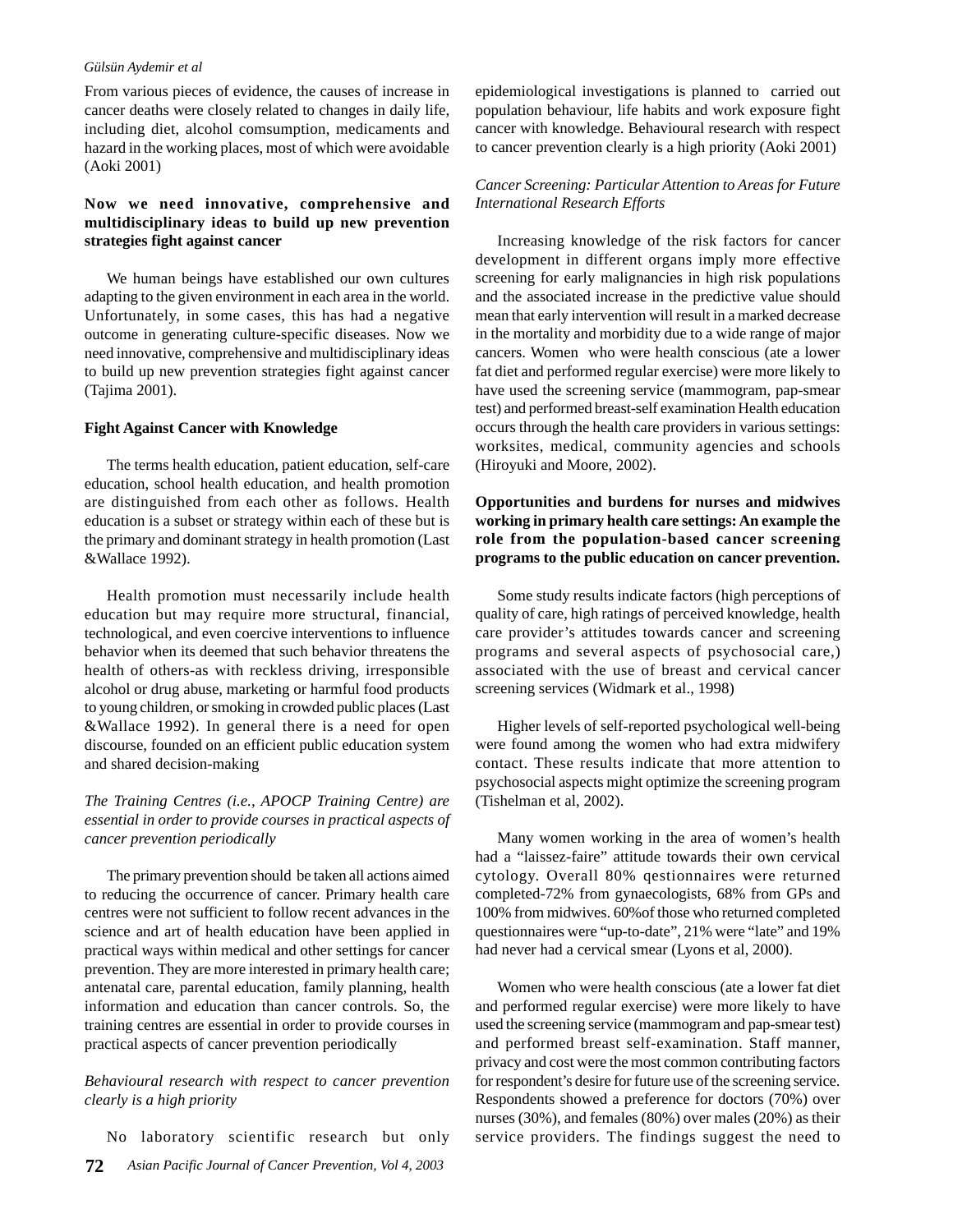#### *Gülsün Aydemir et al*

From various pieces of evidence, the causes of increase in cancer deaths were closely related to changes in daily life, including diet, alcohol comsumption, medicaments and hazard in the working places, most of which were avoidable (Aoki 2001)

# **Now we need innovative, comprehensive and multidisciplinary ideas to build up new prevention strategies fight against cancer**

We human beings have established our own cultures adapting to the given environment in each area in the world. Unfortunately, in some cases, this has had a negative outcome in generating culture-specific diseases. Now we need innovative, comprehensive and multidisciplinary ideas to build up new prevention strategies fight against cancer (Tajima 2001).

#### **Fight Against Cancer with Knowledge**

The terms health education, patient education, self-care education, school health education, and health promotion are distinguished from each other as follows. Health education is a subset or strategy within each of these but is the primary and dominant strategy in health promotion (Last &Wallace 1992).

Health promotion must necessarily include health education but may require more structural, financial, technological, and even coercive interventions to influence behavior when its deemed that such behavior threatens the health of others-as with reckless driving, irresponsible alcohol or drug abuse, marketing or harmful food products to young children, or smoking in crowded public places (Last &Wallace 1992). In general there is a need for open discourse, founded on an efficient public education system and shared decision-making

# *The Training Centres (i.e., APOCP Training Centre) are essential in order to provide courses in practical aspects of cancer prevention periodically*

The primary prevention should be taken all actions aimed to reducing the occurrence of cancer. Primary health care centres were not sufficient to follow recent advances in the science and art of health education have been applied in practical ways within medical and other settings for cancer prevention. They are more interested in primary health care; antenatal care, parental education, family planning, health information and education than cancer controls. So, the training centres are essential in order to provide courses in practical aspects of cancer prevention periodically

#### *Behavioural research with respect to cancer prevention clearly is a high priority*

**72** *Asian Pacific Journal of Cancer Prevention, Vol 4, 2003* No laboratory scientific research but only

epidemiological investigations is planned to carried out population behaviour, life habits and work exposure fight cancer with knowledge. Behavioural research with respect to cancer prevention clearly is a high priority (Aoki 2001)

### *Cancer Screening: Particular Attention to Areas for Future International Research Efforts*

Increasing knowledge of the risk factors for cancer development in different organs imply more effective screening for early malignancies in high risk populations and the associated increase in the predictive value should mean that early intervention will result in a marked decrease in the mortality and morbidity due to a wide range of major cancers. Women who were health conscious (ate a lower fat diet and performed regular exercise) were more likely to have used the screening service (mammogram, pap-smear test) and performed breast-self examination Health education occurs through the health care providers in various settings: worksites, medical, community agencies and schools (Hiroyuki and Moore, 2002).

# **Opportunities and burdens for nurses and midwives working in primary health care settings: An example the role from the population-based cancer screening programs to the public education on cancer prevention.**

Some study results indicate factors (high perceptions of quality of care, high ratings of perceived knowledge, health care provider's attitudes towards cancer and screening programs and several aspects of psychosocial care,) associated with the use of breast and cervical cancer screening services (Widmark et al., 1998)

Higher levels of self-reported psychological well-being were found among the women who had extra midwifery contact. These results indicate that more attention to psychosocial aspects might optimize the screening program (Tishelman et al, 2002).

Many women working in the area of women's health had a "laissez-faire" attitude towards their own cervical cytology. Overall 80% qestionnaires were returned completed-72% from gynaecologists, 68% from GPs and 100% from midwives. 60%of those who returned completed questionnaires were "up-to-date", 21% were "late" and 19% had never had a cervical smear (Lyons et al, 2000).

Women who were health conscious (ate a lower fat diet and performed regular exercise) were more likely to have used the screening service (mammogram and pap-smear test) and performed breast self-examination. Staff manner, privacy and cost were the most common contributing factors for respondent's desire for future use of the screening service. Respondents showed a preference for doctors (70%) over nurses (30%), and females (80%) over males (20%) as their service providers. The findings suggest the need to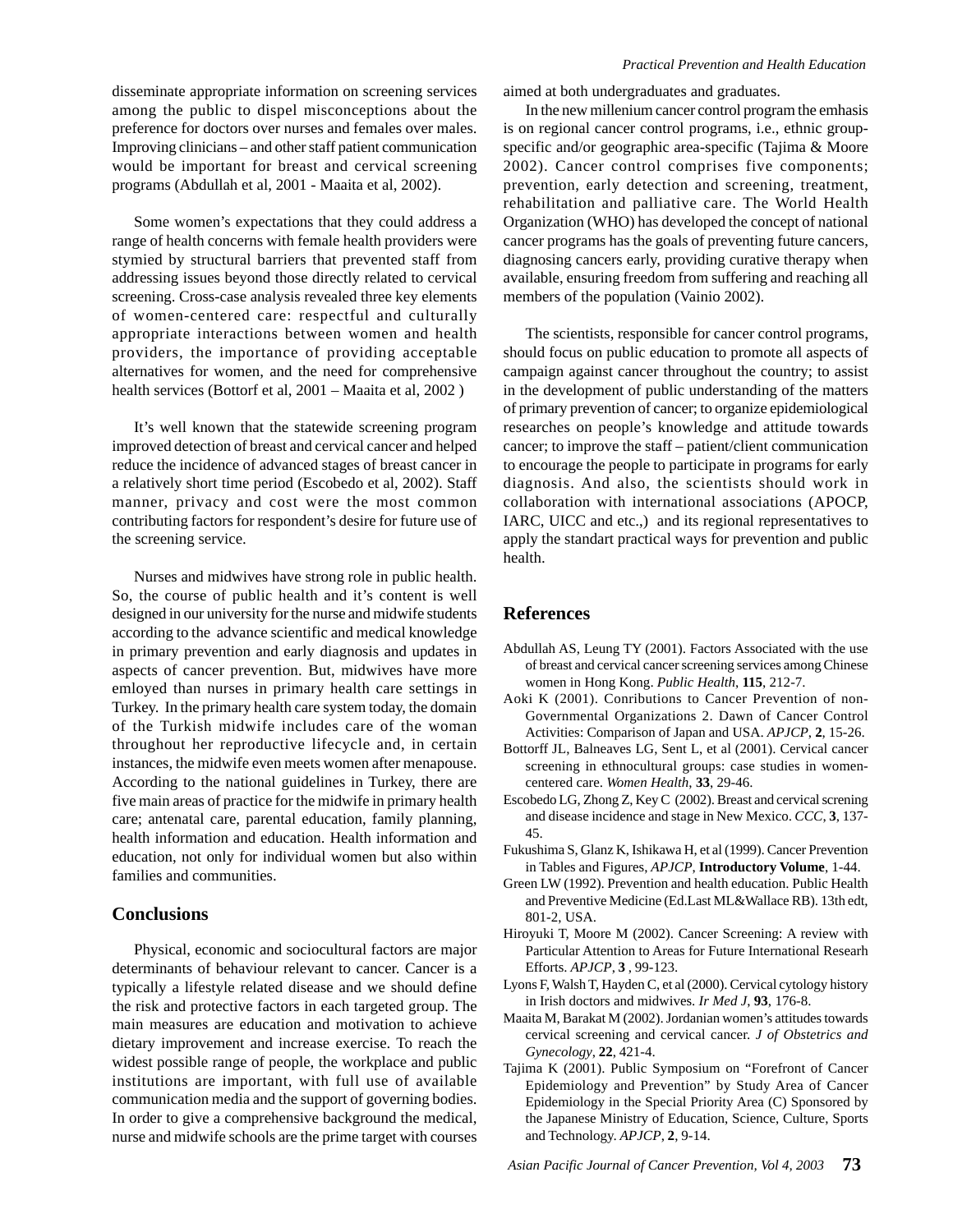disseminate appropriate information on screening services among the public to dispel misconceptions about the preference for doctors over nurses and females over males. Improving clinicians – and other staff patient communication would be important for breast and cervical screening programs (Abdullah et al, 2001 - Maaita et al, 2002).

Some women's expectations that they could address a range of health concerns with female health providers were stymied by structural barriers that prevented staff from addressing issues beyond those directly related to cervical screening. Cross-case analysis revealed three key elements of women-centered care: respectful and culturally appropriate interactions between women and health providers, the importance of providing acceptable alternatives for women, and the need for comprehensive health services (Bottorf et al, 2001 – Maaita et al, 2002 )

It's well known that the statewide screening program improved detection of breast and cervical cancer and helped reduce the incidence of advanced stages of breast cancer in a relatively short time period (Escobedo et al, 2002). Staff manner, privacy and cost were the most common contributing factors for respondent's desire for future use of the screening service.

Nurses and midwives have strong role in public health. So, the course of public health and it's content is well designed in our university for the nurse and midwife students according to the advance scientific and medical knowledge in primary prevention and early diagnosis and updates in aspects of cancer prevention. But, midwives have more emloyed than nurses in primary health care settings in Turkey. In the primary health care system today, the domain of the Turkish midwife includes care of the woman throughout her reproductive lifecycle and, in certain instances, the midwife even meets women after menapouse. According to the national guidelines in Turkey, there are five main areas of practice for the midwife in primary health care; antenatal care, parental education, family planning, health information and education. Health information and education, not only for individual women but also within families and communities.

#### **Conclusions**

Physical, economic and sociocultural factors are major determinants of behaviour relevant to cancer. Cancer is a typically a lifestyle related disease and we should define the risk and protective factors in each targeted group. The main measures are education and motivation to achieve dietary improvement and increase exercise. To reach the widest possible range of people, the workplace and public institutions are important, with full use of available communication media and the support of governing bodies. In order to give a comprehensive background the medical, nurse and midwife schools are the prime target with courses

aimed at both undergraduates and graduates.

In the new millenium cancer control program the emhasis is on regional cancer control programs, i.e., ethnic groupspecific and/or geographic area-specific (Tajima & Moore 2002). Cancer control comprises five components; prevention, early detection and screening, treatment, rehabilitation and palliative care. The World Health Organization (WHO) has developed the concept of national cancer programs has the goals of preventing future cancers, diagnosing cancers early, providing curative therapy when available, ensuring freedom from suffering and reaching all members of the population (Vainio 2002).

The scientists, responsible for cancer control programs, should focus on public education to promote all aspects of campaign against cancer throughout the country; to assist in the development of public understanding of the matters of primary prevention of cancer; to organize epidemiological researches on people's knowledge and attitude towards cancer; to improve the staff – patient/client communication to encourage the people to participate in programs for early diagnosis. And also, the scientists should work in collaboration with international associations (APOCP, IARC, UICC and etc.,) and its regional representatives to apply the standart practical ways for prevention and public health.

# **References**

- Abdullah AS, Leung TY (2001). Factors Associated with the use of breast and cervical cancer screening services among Chinese women in Hong Kong. *Public Health*, **115**, 212-7.
- Aoki K (2001). Conributions to Cancer Prevention of non-Governmental Organizations 2. Dawn of Cancer Control Activities: Comparison of Japan and USA. *APJCP*, **2**, 15-26.
- Bottorff JL, Balneaves LG, Sent L, et al (2001). Cervical cancer screening in ethnocultural groups: case studies in womencentered care. *Women Health*, **33**, 29-46.
- Escobedo LG, Zhong Z, Key C (2002). Breast and cervical screning and disease incidence and stage in New Mexico. *CCC*, **3**, 137- 45.
- Fukushima S, Glanz K, Ishikawa H, et al (1999). Cancer Prevention in Tables and Figures, *APJCP*, **Introductory Volume**, 1-44.
- Green LW (1992). Prevention and health education. Public Health and Preventive Medicine (Ed.Last ML&Wallace RB). 13th edt, 801-2, USA.
- Hiroyuki T, Moore M (2002). Cancer Screening: A review with Particular Attention to Areas for Future International Researh Efforts. *APJCP*, **3** , 99-123.
- Lyons F, Walsh T, Hayden C, et al (2000). Cervical cytology history in Irish doctors and midwives. *Ir Med J*, **93**, 176-8.
- Maaita M, Barakat M (2002). Jordanian women's attitudes towards cervical screening and cervical cancer. *J of Obstetrics and Gynecology*, **22**, 421-4.
- Tajima K (2001). Public Symposium on "Forefront of Cancer Epidemiology and Prevention" by Study Area of Cancer Epidemiology in the Special Priority Area (C) Sponsored by the Japanese Ministry of Education, Science, Culture, Sports and Technology. *APJCP*, **2**, 9-14.